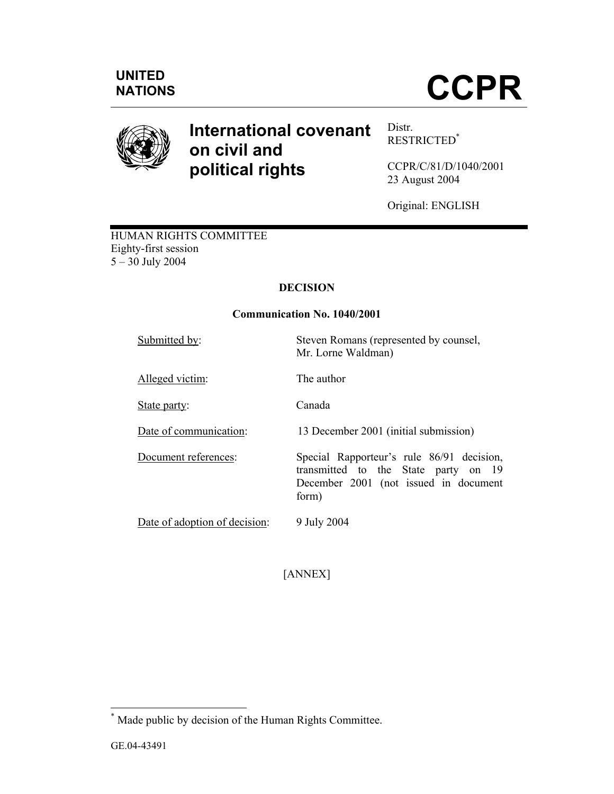

# **International covenant on civil and political rights**

Distr. RESTRICTED\*

CCPR/C/81/D/1040/2001 23 August 2004

Original: ENGLISH

HUMAN RIGHTS COMMITTEE Eighty-first session 5 – 30 July 2004

## **DECISION**

## **Communication No. 1040/2001**

Submitted by:<br>Steven Romans (represented by counsel, Mr. Lorne Waldman)

Alleged victim: The author

State party: Canada

Date of communication: 13 December 2001 (initial submission)

Document references: Special Rapporteur's rule 86/91 decision, transmitted to the State party on 19 December 2001 (not issued in document form)

Date of adoption of decision: 9 July 2004

[ANNEX]

<sup>\*</sup> Made public by decision of the Human Rights Committee.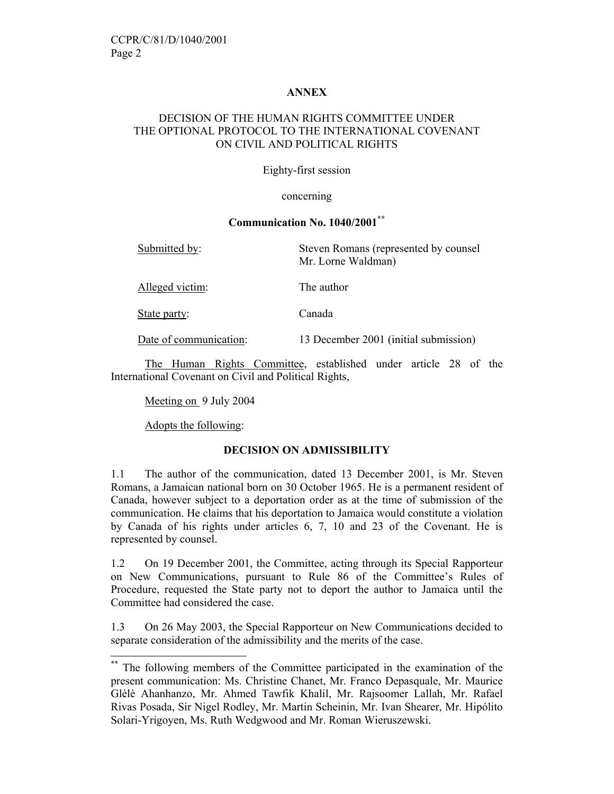#### **ANNEX**

## DECISION OF THE HUMAN RIGHTS COMMITTEE UNDER THE OPTIONAL PROTOCOL TO THE INTERNATIONAL COVENANT ON CIVIL AND POLITICAL RIGHTS

Eighty-first session

#### concerning

## **Communication No. 1040/2001\*\***

| Submitted by:          | Steven Romans (represented by counsel<br>Mr. Lorne Waldman) |
|------------------------|-------------------------------------------------------------|
| Alleged victim:        | The author                                                  |
| State party:           | Canada                                                      |
| Date of communication: | 13 December 2001 (initial submission)                       |

 The Human Rights Committee, established under article 28 of the International Covenant on Civil and Political Rights,

Meeting on 9 July 2004

Adopts the following:

 $\overline{a}$ 

## **DECISION ON ADMISSIBILITY**

1.1 The author of the communication, dated 13 December 2001, is Mr. Steven Romans, a Jamaican national born on 30 October 1965. He is a permanent resident of Canada, however subject to a deportation order as at the time of submission of the communication. He claims that his deportation to Jamaica would constitute a violation by Canada of his rights under articles 6, 7, 10 and 23 of the Covenant. He is represented by counsel.

1.2 On 19 December 2001, the Committee, acting through its Special Rapporteur on New Communications, pursuant to Rule 86 of the Committee's Rules of Procedure, requested the State party not to deport the author to Jamaica until the Committee had considered the case.

1.3 On 26 May 2003, the Special Rapporteur on New Communications decided to separate consideration of the admissibility and the merits of the case.

<sup>\*\*</sup> The following members of the Committee participated in the examination of the present communication: Ms. Christine Chanet, Mr. Franco Depasquale, Mr. Maurice Glèlè Ahanhanzo, Mr. Ahmed Tawfik Khalil, Mr. Rajsoomer Lallah, Mr. Rafael Rivas Posada, Sir Nigel Rodley, Mr. Martin Scheinin, Mr. Ivan Shearer, Mr. Hipólito Solari-Yrigoyen, Ms. Ruth Wedgwood and Mr. Roman Wieruszewski.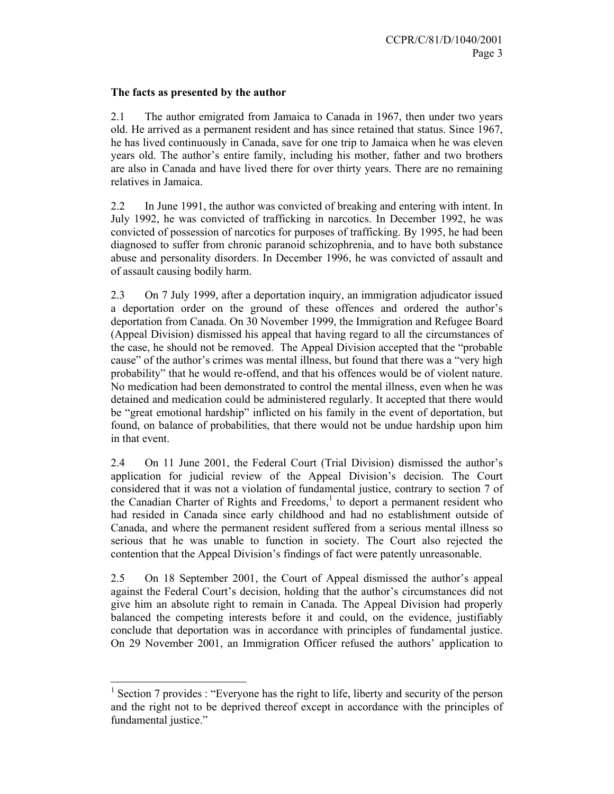#### **The facts as presented by the author**

2.1 The author emigrated from Jamaica to Canada in 1967, then under two years old. He arrived as a permanent resident and has since retained that status. Since 1967, he has lived continuously in Canada, save for one trip to Jamaica when he was eleven years old. The author's entire family, including his mother, father and two brothers are also in Canada and have lived there for over thirty years. There are no remaining relatives in Jamaica.

2.2 In June 1991, the author was convicted of breaking and entering with intent. In July 1992, he was convicted of trafficking in narcotics. In December 1992, he was convicted of possession of narcotics for purposes of trafficking. By 1995, he had been diagnosed to suffer from chronic paranoid schizophrenia, and to have both substance abuse and personality disorders. In December 1996, he was convicted of assault and of assault causing bodily harm.

2.3 On 7 July 1999, after a deportation inquiry, an immigration adjudicator issued a deportation order on the ground of these offences and ordered the author's deportation from Canada. On 30 November 1999, the Immigration and Refugee Board (Appeal Division) dismissed his appeal that having regard to all the circumstances of the case, he should not be removed. The Appeal Division accepted that the "probable cause" of the author's crimes was mental illness, but found that there was a "very high probability" that he would re-offend, and that his offences would be of violent nature. No medication had been demonstrated to control the mental illness, even when he was detained and medication could be administered regularly. It accepted that there would be "great emotional hardship" inflicted on his family in the event of deportation, but found, on balance of probabilities, that there would not be undue hardship upon him in that event.

2.4 On 11 June 2001, the Federal Court (Trial Division) dismissed the author's application for judicial review of the Appeal Division's decision. The Court considered that it was not a violation of fundamental justice, contrary to section 7 of the Canadian Charter of Rights and Freedoms, $<sup>1</sup>$  to deport a permanent resident who</sup> had resided in Canada since early childhood and had no establishment outside of Canada, and where the permanent resident suffered from a serious mental illness so serious that he was unable to function in society. The Court also rejected the contention that the Appeal Division's findings of fact were patently unreasonable.

2.5 On 18 September 2001, the Court of Appeal dismissed the author's appeal against the Federal Court's decision, holding that the author's circumstances did not give him an absolute right to remain in Canada. The Appeal Division had properly balanced the competing interests before it and could, on the evidence, justifiably conclude that deportation was in accordance with principles of fundamental justice. On 29 November 2001, an Immigration Officer refused the authors' application to

<sup>1</sup> Section 7 provides : "Everyone has the right to life, liberty and security of the person and the right not to be deprived thereof except in accordance with the principles of fundamental justice."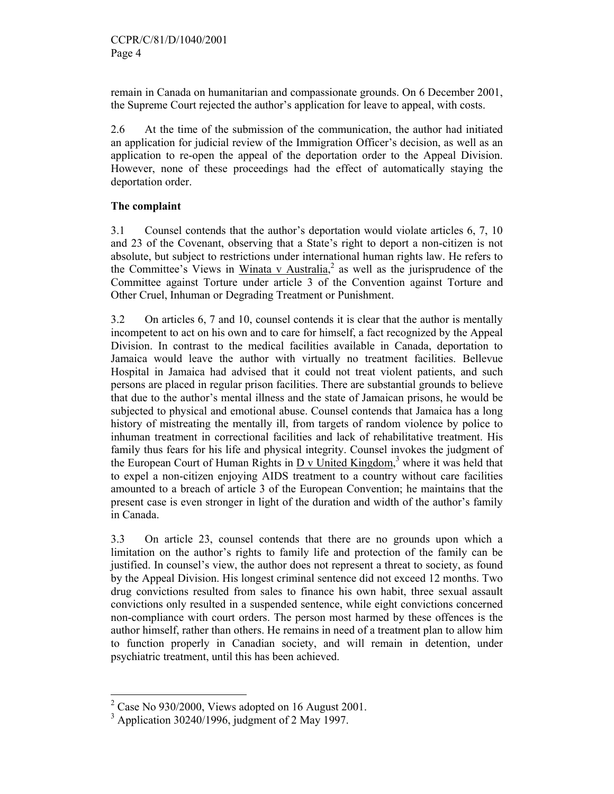remain in Canada on humanitarian and compassionate grounds. On 6 December 2001, the Supreme Court rejected the author's application for leave to appeal, with costs.

2.6 At the time of the submission of the communication, the author had initiated an application for judicial review of the Immigration Officer's decision, as well as an application to re-open the appeal of the deportation order to the Appeal Division. However, none of these proceedings had the effect of automatically staying the deportation order.

## **The complaint**

3.1 Counsel contends that the author's deportation would violate articles 6, 7, 10 and 23 of the Covenant, observing that a State's right to deport a non-citizen is not absolute, but subject to restrictions under international human rights law. He refers to the Committee's Views in Winata v Australia,<sup>2</sup> as well as the jurisprudence of the Committee against Torture under article 3 of the Convention against Torture and Other Cruel, Inhuman or Degrading Treatment or Punishment.

3.2 On articles 6, 7 and 10, counsel contends it is clear that the author is mentally incompetent to act on his own and to care for himself, a fact recognized by the Appeal Division. In contrast to the medical facilities available in Canada, deportation to Jamaica would leave the author with virtually no treatment facilities. Bellevue Hospital in Jamaica had advised that it could not treat violent patients, and such persons are placed in regular prison facilities. There are substantial grounds to believe that due to the author's mental illness and the state of Jamaican prisons, he would be subjected to physical and emotional abuse. Counsel contends that Jamaica has a long history of mistreating the mentally ill, from targets of random violence by police to inhuman treatment in correctional facilities and lack of rehabilitative treatment. His family thus fears for his life and physical integrity. Counsel invokes the judgment of the European Court of Human Rights in  $D_v$  United Kingdom,<sup>3</sup> where it was held that to expel a non-citizen enjoying AIDS treatment to a country without care facilities amounted to a breach of article 3 of the European Convention; he maintains that the present case is even stronger in light of the duration and width of the author's family in Canada.

3.3 On article 23, counsel contends that there are no grounds upon which a limitation on the author's rights to family life and protection of the family can be justified. In counsel's view, the author does not represent a threat to society, as found by the Appeal Division. His longest criminal sentence did not exceed 12 months. Two drug convictions resulted from sales to finance his own habit, three sexual assault convictions only resulted in a suspended sentence, while eight convictions concerned non-compliance with court orders. The person most harmed by these offences is the author himself, rather than others. He remains in need of a treatment plan to allow him to function properly in Canadian society, and will remain in detention, under psychiatric treatment, until this has been achieved.

 $2^2$  Case No 930/2000, Views adopted on 16 August 2001.

<sup>3</sup> Application 30240/1996, judgment of 2 May 1997.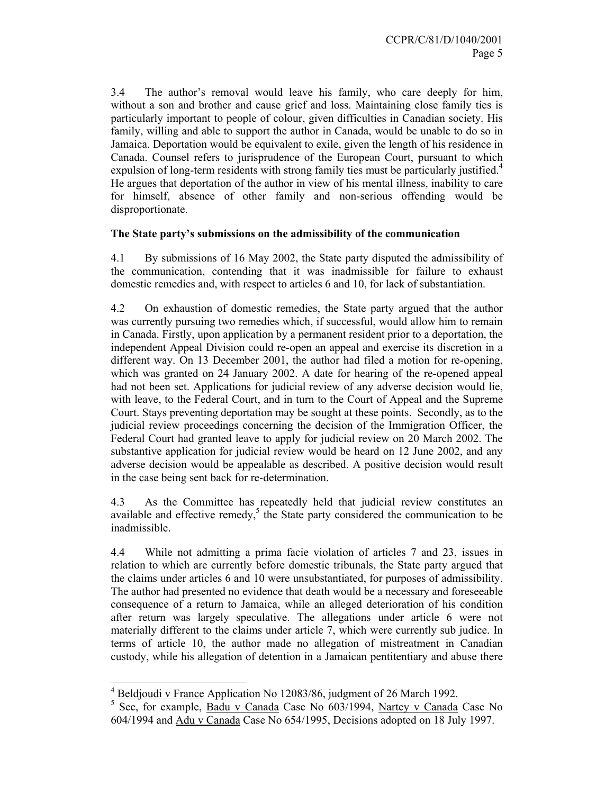3.4 The author's removal would leave his family, who care deeply for him, without a son and brother and cause grief and loss. Maintaining close family ties is particularly important to people of colour, given difficulties in Canadian society. His family, willing and able to support the author in Canada, would be unable to do so in Jamaica. Deportation would be equivalent to exile, given the length of his residence in Canada. Counsel refers to jurisprudence of the European Court, pursuant to which expulsion of long-term residents with strong family ties must be particularly justified.<sup>4</sup> He argues that deportation of the author in view of his mental illness, inability to care for himself, absence of other family and non-serious offending would be disproportionate.

#### **The State party's submissions on the admissibility of the communication**

4.1 By submissions of 16 May 2002, the State party disputed the admissibility of the communication, contending that it was inadmissible for failure to exhaust domestic remedies and, with respect to articles 6 and 10, for lack of substantiation.

4.2 On exhaustion of domestic remedies, the State party argued that the author was currently pursuing two remedies which, if successful, would allow him to remain in Canada. Firstly, upon application by a permanent resident prior to a deportation, the independent Appeal Division could re-open an appeal and exercise its discretion in a different way. On 13 December 2001, the author had filed a motion for re-opening, which was granted on 24 January 2002. A date for hearing of the re-opened appeal had not been set. Applications for judicial review of any adverse decision would lie, with leave, to the Federal Court, and in turn to the Court of Appeal and the Supreme Court. Stays preventing deportation may be sought at these points. Secondly, as to the judicial review proceedings concerning the decision of the Immigration Officer, the Federal Court had granted leave to apply for judicial review on 20 March 2002. The substantive application for judicial review would be heard on 12 June 2002, and any adverse decision would be appealable as described. A positive decision would result in the case being sent back for re-determination.

4.3 As the Committee has repeatedly held that judicial review constitutes an available and effective remedy, $5$  the State party considered the communication to be inadmissible.

4.4 While not admitting a prima facie violation of articles 7 and 23, issues in relation to which are currently before domestic tribunals, the State party argued that the claims under articles 6 and 10 were unsubstantiated, for purposes of admissibility. The author had presented no evidence that death would be a necessary and foreseeable consequence of a return to Jamaica, while an alleged deterioration of his condition after return was largely speculative. The allegations under article 6 were not materially different to the claims under article 7, which were currently sub judice. In terms of article 10, the author made no allegation of mistreatment in Canadian custody, while his allegation of detention in a Jamaican pentitentiary and abuse there

 $4 \underline{\text{Beldjoudi v France}}$  Application No 12083/86, judgment of 26 March 1992.

<sup>&</sup>lt;sup>5</sup> See, for example, **Badu v Canada Case No 603/1994**, Nartey v Canada Case No 604/1994 and Adu v Canada Case No 654/1995, Decisions adopted on 18 July 1997.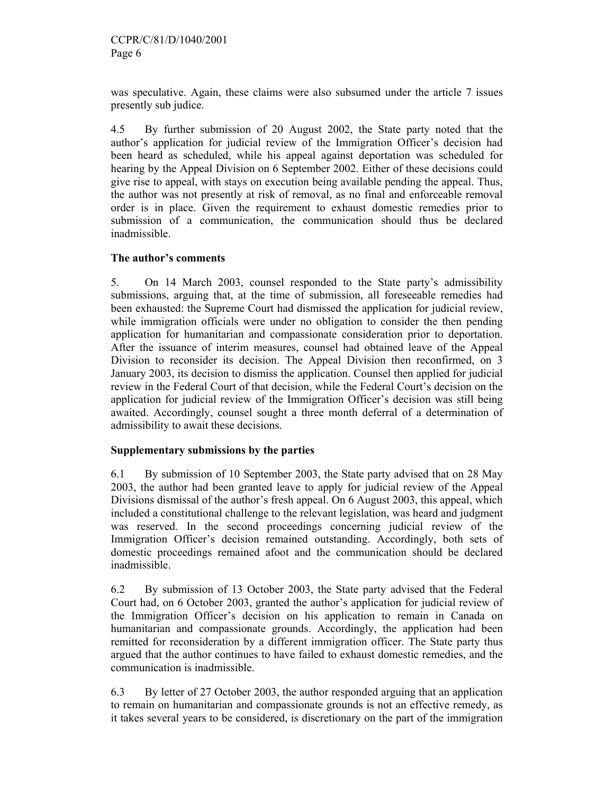was speculative. Again, these claims were also subsumed under the article 7 issues presently sub judice.

4.5 By further submission of 20 August 2002, the State party noted that the author's application for judicial review of the Immigration Officer's decision had been heard as scheduled, while his appeal against deportation was scheduled for hearing by the Appeal Division on 6 September 2002. Either of these decisions could give rise to appeal, with stays on execution being available pending the appeal. Thus, the author was not presently at risk of removal, as no final and enforceable removal order is in place. Given the requirement to exhaust domestic remedies prior to submission of a communication, the communication should thus be declared inadmissible.

### **The author's comments**

5. On 14 March 2003, counsel responded to the State party's admissibility submissions, arguing that, at the time of submission, all foreseeable remedies had been exhausted: the Supreme Court had dismissed the application for judicial review, while immigration officials were under no obligation to consider the then pending application for humanitarian and compassionate consideration prior to deportation. After the issuance of interim measures, counsel had obtained leave of the Appeal Division to reconsider its decision. The Appeal Division then reconfirmed, on 3 January 2003, its decision to dismiss the application. Counsel then applied for judicial review in the Federal Court of that decision, while the Federal Court's decision on the application for judicial review of the Immigration Officer's decision was still being awaited. Accordingly, counsel sought a three month deferral of a determination of admissibility to await these decisions.

#### **Supplementary submissions by the parties**

6.1 By submission of 10 September 2003, the State party advised that on 28 May 2003, the author had been granted leave to apply for judicial review of the Appeal Divisions dismissal of the author's fresh appeal. On 6 August 2003, this appeal, which included a constitutional challenge to the relevant legislation, was heard and judgment was reserved. In the second proceedings concerning judicial review of the Immigration Officer's decision remained outstanding. Accordingly, both sets of domestic proceedings remained afoot and the communication should be declared inadmissible.

6.2 By submission of 13 October 2003, the State party advised that the Federal Court had, on 6 October 2003, granted the author's application for judicial review of the Immigration Officer's decision on his application to remain in Canada on humanitarian and compassionate grounds. Accordingly, the application had been remitted for reconsideration by a different immigration officer. The State party thus argued that the author continues to have failed to exhaust domestic remedies, and the communication is inadmissible.

6.3 By letter of 27 October 2003, the author responded arguing that an application to remain on humanitarian and compassionate grounds is not an effective remedy, as it takes several years to be considered, is discretionary on the part of the immigration